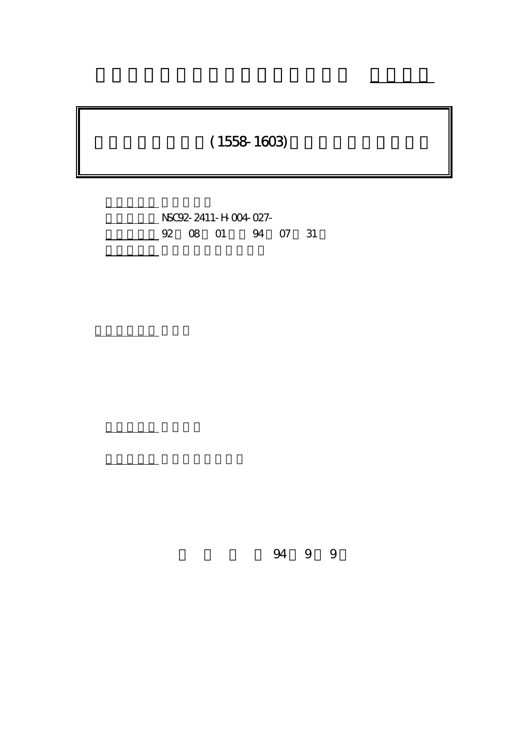# $(1558 - 1603)$

行政院國家科學委員會專題研究計畫 成果報告

計畫編號: NSC92-2411-H-004-027- 02 08 01 94 07 31

計畫主持人: 林美香

報告類型: 精簡報告

。<br>在前書 : 本計畫可公開查

94 9 9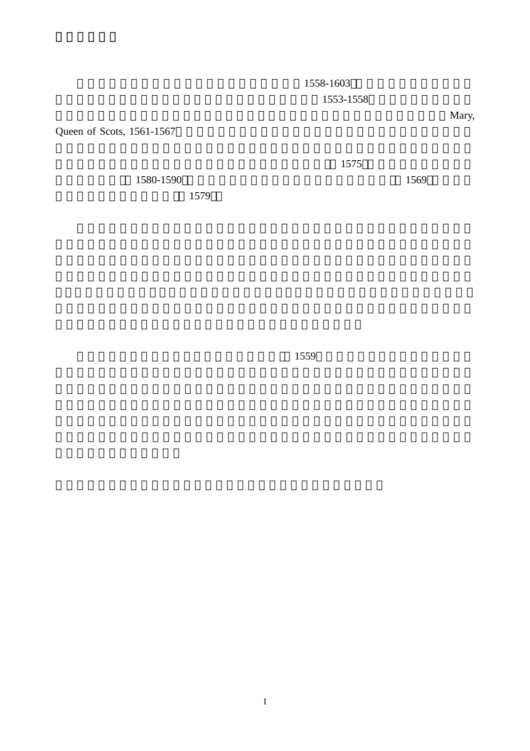1558-1603 1553-1558

Queen of Scots, 1561-1567

1580-1590 ;  $1580-1590$ 

1579

 $1575$ 

 $1559$ 

 $Mary$ ,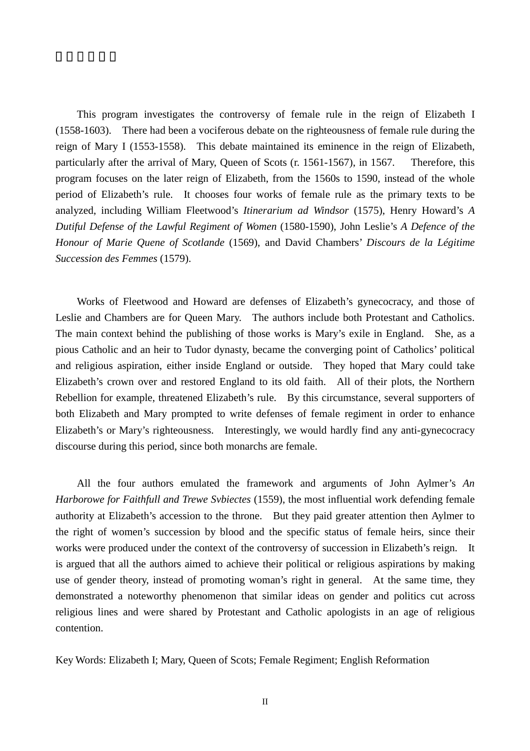This program investigates the controversy of female rule in the reign of Elizabeth I (1558-1603). There had been a vociferous debate on the righteousness of female rule during the reign of Mary I (1553-1558). This debate maintained its eminence in the reign of Elizabeth, particularly after the arrival of Mary, Queen of Scots (r. 1561-1567), in 1567. Therefore, this program focuses on the later reign of Elizabeth, from the 1560s to 1590, instead of the whole period of Elizabeth's rule. It chooses four works of female rule as the primary texts to be analyzed, including William Fleetwood's *Itinerarium ad Windsor* (1575), Henry Howard's *A Dutiful Defense of the Lawful Regiment of Women* (1580-1590), John Leslie's *A Defence of the Honour of Marie Quene of Scotlande* (1569), and David Chambers' *Discours de la Légitime Succession des Femmes* (1579).

Works of Fleetwood and Howard are defenses of Elizabeth's gynecocracy, and those of Leslie and Chambers are for Queen Mary. The authors include both Protestant and Catholics. The main context behind the publishing of those works is Mary's exile in England. She, as a pious Catholic and an heir to Tudor dynasty, became the converging point of Catholics' political and religious aspiration, either inside England or outside. They hoped that Mary could take Elizabeth's crown over and restored England to its old faith. All of their plots, the Northern Rebellion for example, threatened Elizabeth's rule. By this circumstance, several supporters of both Elizabeth and Mary prompted to write defenses of female regiment in order to enhance Elizabeth's or Mary's righteousness. Interestingly, we would hardly find any anti-gynecocracy discourse during this period, since both monarchs are female.

All the four authors emulated the framework and arguments of John Aylmer's *An Harborowe for Faithfull and Trewe Svbiectes* (1559), the most influential work defending female authority at Elizabeth's accession to the throne. But they paid greater attention then Aylmer to the right of women's succession by blood and the specific status of female heirs, since their works were produced under the context of the controversy of succession in Elizabeth's reign. It is argued that all the authors aimed to achieve their political or religious aspirations by making use of gender theory, instead of promoting woman's right in general. At the same time, they demonstrated a noteworthy phenomenon that similar ideas on gender and politics cut across religious lines and were shared by Protestant and Catholic apologists in an age of religious contention.

Key Words: Elizabeth I; Mary, Queen of Scots; Female Regiment; English Reformation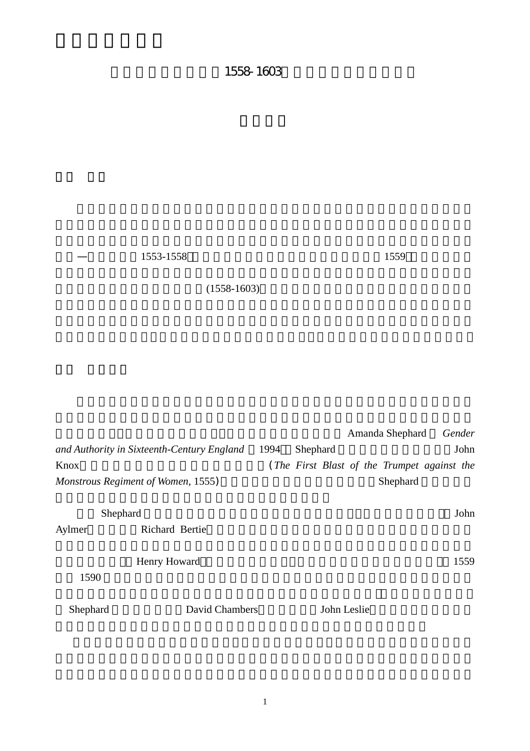# 1558-1603

1553-1558 , 1559 , 1559 , 1559 , 1559 , 1559 , 1559 , 1559 , 1559 , 1559 , 1559 , 1559 , 1559 , 1559 , 1559 , 1559 , 1559 , 1559 , 1559 , 1559 , 1559 , 1559 , 1559 , 1559 , 1559 , 1559 , 1559 , 1559 , 1559 , 1559 , 1559 ,

 $(1558-1603)$ 

Amanda Shephard *Gender and Authority in Sixteenth-Century England* 1994 Shephard 1994 Shend Knox (*The First Blast of the Trumpet against the Monstrous Regiment of Women*, 1555) Shephard  $\blacksquare$ Shephard **The Shephard** Shephard  $\frac{1}{2}$ Aylmer Richard Bertie Henry Howard 1559  $1590$ Shephard David Chambers John Leslie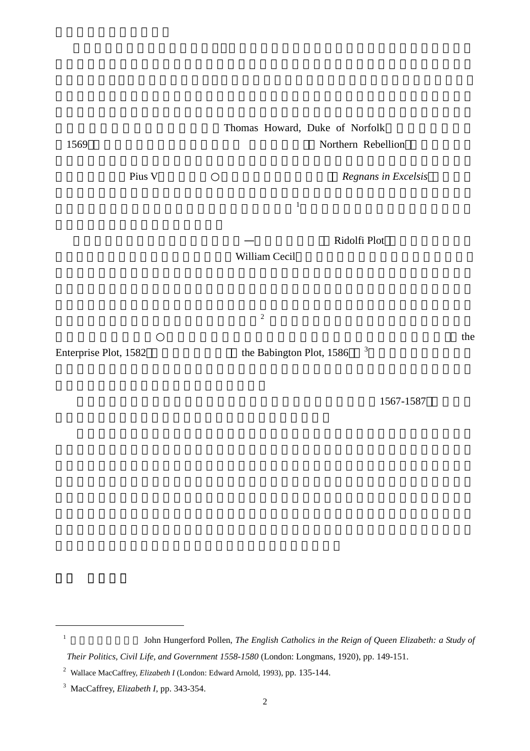Thomas Howard, Duke of Norfolk 1569 ;密約失敗後天主教貴族發動的 「北方叛變」 Northern Rebellion ,欲將伊莉莎

教宗庇護五世(Pius V)在一五七○年二月頒佈了「逐出令」 *Regnans in Excelsis* ,將伊莉

 $\frac{1}{2}$ 

Ridolfi Plot

William Cecil

 $\frac{2}{\sqrt{2}}$ 

 $\mathbf{R}$ 

Enterprise Plot, 1582 the Babington Plot, 1586 <sup>3</sup>

<sup>1</sup> John Hungerford Pollen, *The English Catholics in the Reign of Queen Elizabeth: a Study of* 

 $\overline{a}$ 

1567-1587

*Their Politics, Civil Life, and Government 1558-1580* (London: Longmans, 1920), pp. 149-151.

<sup>2</sup> Wallace MacCaffrey, *Elizabeth I* (London: Edward Arnold, 1993), pp. 135-144.

<sup>3</sup> MacCaffrey, *Elizabeth I*, pp. 343-354.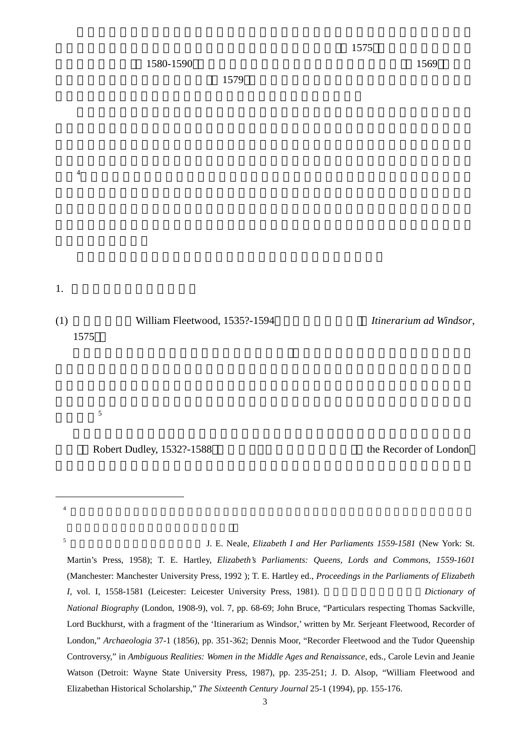$1.$ 

象。<sup>4</sup>

(1) William Fleetwood, 1535?-1594 *Itinerarium ad Windsor*, 1575

繼承權。<sup>5</sup>

Robert Dudley, 1532?-1588 the Recorder of London

 $4$ 

 $\overline{a}$ 

<sup>5</sup> 關於這場國會辯論過程與內容可見 J. E. Neale, *Elizabeth I and Her Parliaments 1559-1581* (New York: St.

Martin's Press, 1958); T. E. Hartley, *Elizabeth's Parliaments: Queens, Lords and Commons, 1559-1601*  (Manchester: Manchester University Press, 1992 ); T. E. Hartley ed., *Proceedings in the Parliaments of Elizabeth I*, vol. I, 1558-1581 (Leicester: Leicester University Press, 1981). Dictionary of *National Biography* (London, 1908-9), vol. 7, pp. 68-69; John Bruce, "Particulars respecting Thomas Sackville, Lord Buckhurst, with a fragment of the 'Itinerarium as Windsor,' written by Mr. Serjeant Fleetwood, Recorder of London," *Archaeologia* 37-1 (1856), pp. 351-362; Dennis Moor, "Recorder Fleetwood and the Tudor Queenship Controversy," in *Ambiguous Realities: Women in the Middle Ages and Renaissance*, eds., Carole Levin and Jeanie Watson (Detroit: Wayne State University Press, 1987), pp. 235-251; J. D. Alsop, "William Fleetwood and Elizabethan Historical Scholarship," *The Sixteenth Century Journal* 25-1 (1994), pp. 155-176.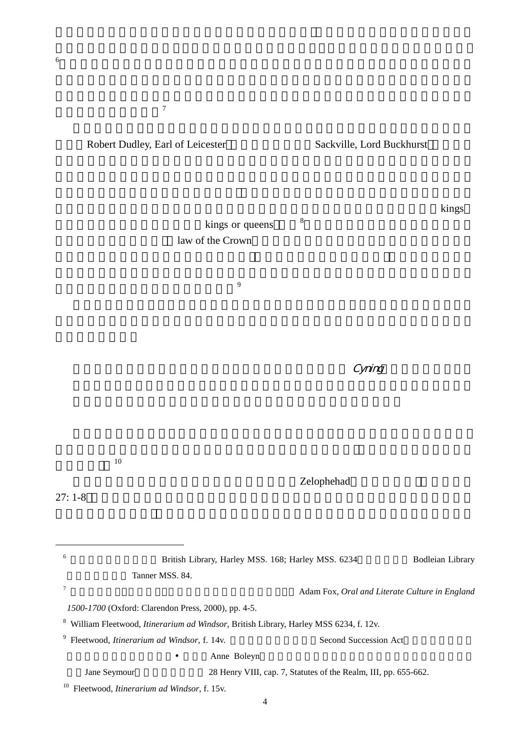形塑某種有力的共識。<sup>7</sup>

Robert Dudley, Earl of Leicester , Sackville, Lord Buckhurst , Sackville, Lord Buckhurst ,

kings or queens  $8<sup>8</sup>$ law of the Crown

會同意給予她的祖先所有相同的特權和君王的至高之權,這些權利是特予以國王(kings

 $\overline{9}$ 

 $C$ yning,  $C$ yning,  $C$ yning,  $C$ yning,  $C$ yning,  $C$ 

Zelophehad

傳予女嗣」 <sup>10</sup>

 $27: 1-8$ 

 $\overline{a}$ 

6 **Karlof** British Library, Harley MSS. 168; Harley MSS. 6234 **Bodleian Library** Tanner MSS, 84. <sup>7</sup> 英格蘭在十六、十七世紀 手抄本的傳播能力超過印刷本。 Adam Fox, *Oral and Literate Culture in England 1500-1700* (Oxford: Clarendon Press, 2000), pp. 4-5. 8 William Fleetwood, *Itinerarium ad Windsor*, British Library, Harley MSS 6234, f. 12v. <sup>9</sup> Fleetwood, *Itinerarium ad Windsor*, f. 14v. Second Succession Act Anne Boleyn Jane Seymour 28 Henry VIII, cap. 7, Statutes of the Realm, III, pp. 655-662. 10 Fleetwood, *Itinerarium ad Windsor*, f. 15v.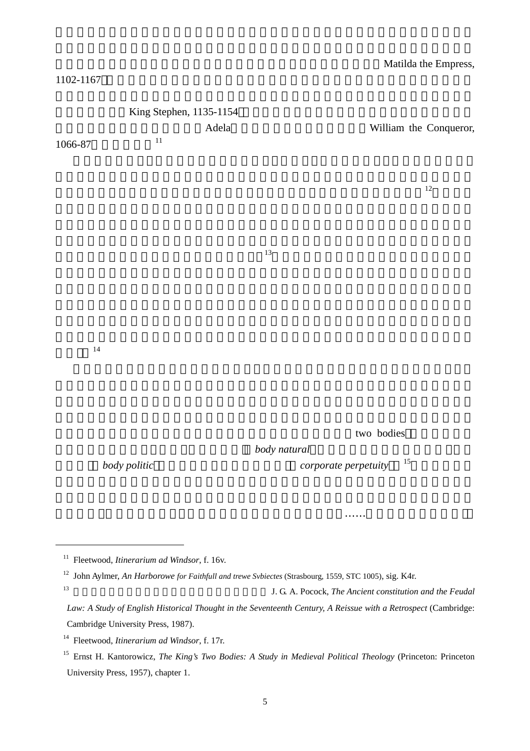#### $1102-1167$

| 1066-87 | King Stephen, 1135-1154<br>$11\,$ | Adela |              |                                | William the Conqueror, |
|---------|-----------------------------------|-------|--------------|--------------------------------|------------------------|
|         |                                   |       |              |                                | $12\,$                 |
|         |                                   |       | 13           |                                |                        |
| $14\,$  |                                   |       |              |                                |                        |
|         |                                   |       | body natural | two bodies                     |                        |
|         | body politic                      |       |              | $15\,$<br>corporate perpetuity |                        |

<sup>11</sup> Fleetwood, *Itinerarium ad Windsor*, f. 16v.

 $\overline{a}$ 

13 **13 I. G. A. Pocock,** *The Ancient constitution and the Feudal* 

<sup>12</sup> John Aylmer, *An Harborowe for Faithfull and trewe Svbiectes* (Strasbourg, 1559, STC 1005), sig. K4r.

*Law: A Study of English Historical Thought in the Seventeenth Century, A Reissue with a Retrospect* (Cambridge: Cambridge University Press, 1987).

<sup>14</sup> Fleetwood, *Itinerarium ad Windsor*, f. 17r.

<sup>&</sup>lt;sup>15</sup> Ernst H. Kantorowicz, *The King's Two Bodies: A Study in Medieval Political Theology* (Princeton: Princeton University Press, 1957), chapter 1.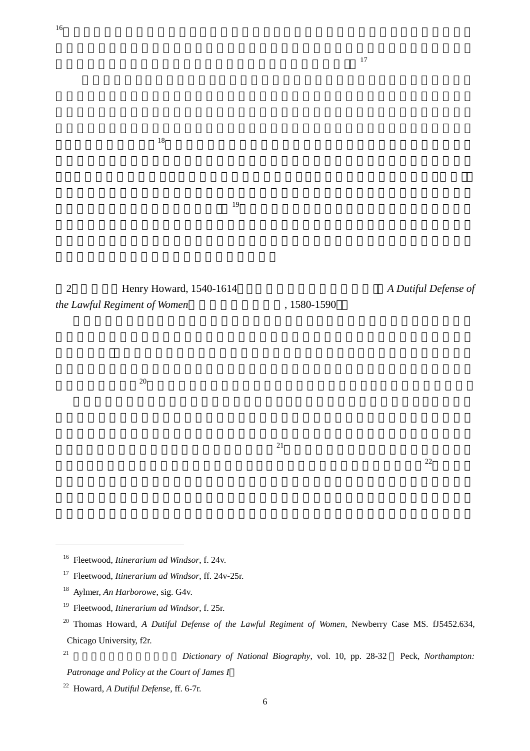$18$ 

# 2 **Henry Howard, 1540-1614** *A Dutiful Defense of the Lawful Regiment of Women*, 1580-1590

 $20$ 

 $21$ 

 $22$ 

- 16 Fleetwood, *Itinerarium ad Windsor*, f. 24v.
- 17 Fleetwood, *Itinerarium ad Windsor*, ff. 24v-25r.
- 18 Aylmer, *An Harborowe*, sig. G4v.
- 19 Fleetwood, *Itinerarium ad Windsor*, f. 25r.
- <sup>20</sup> Thomas Howard, *A Dutiful Defense of the Lawful Regiment of Women*, Newberry Case MS. fJ5452.634, Chicago University, f2r.
- 

 $\overline{a}$ 

<sup>&</sup>lt;sup>21</sup> *Dictionary of National Biography*, vol. 10, pp. 28-32 Peck, *Northampton*:

*Patronage and Policy at the Court of James I*

<sup>22</sup> Howard, *A Dutiful Defense*, ff. 6-7r.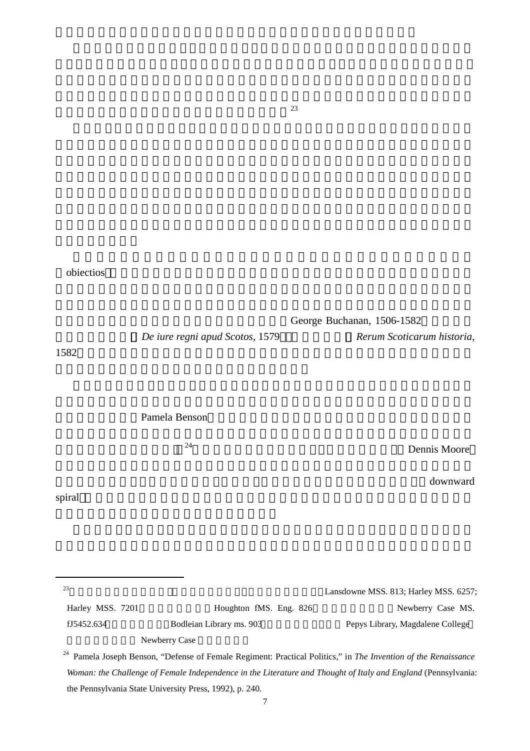$^{23}$ 

| obiectios |  |
|-----------|--|
|-----------|--|

|                  |                                                                                                                           | George Buchanan, 1506-1582            |
|------------------|---------------------------------------------------------------------------------------------------------------------------|---------------------------------------|
| 1582             | De iure regni apud Scotos, 1579                                                                                           | Rerum Scoticarum historia,            |
|                  | Pamela Benson                                                                                                             |                                       |
|                  | 24                                                                                                                        | Dennis Moore                          |
| spiral           |                                                                                                                           | downward                              |
| 23               |                                                                                                                           | Lansdowne MSS. 813; Harley MSS. 6257; |
| Harley MSS. 7201 | Houghton fMS. Eng. 826                                                                                                    | Newberry Case MS.                     |
| fJ5452.634       | Bodleian Library ms. 903                                                                                                  | Pepys Library, Magdalene College      |
|                  | Newberry Case                                                                                                             |                                       |
|                  | <sup>24</sup> Pamela Joseph Benson, "Defense of Female Regiment: Practical Politics," in The Invention of the Renaissance |                                       |
|                  | Woman: the Challenge of Female Independence in the Literature and Thought of Italy and England (Pennsylvania:             |                                       |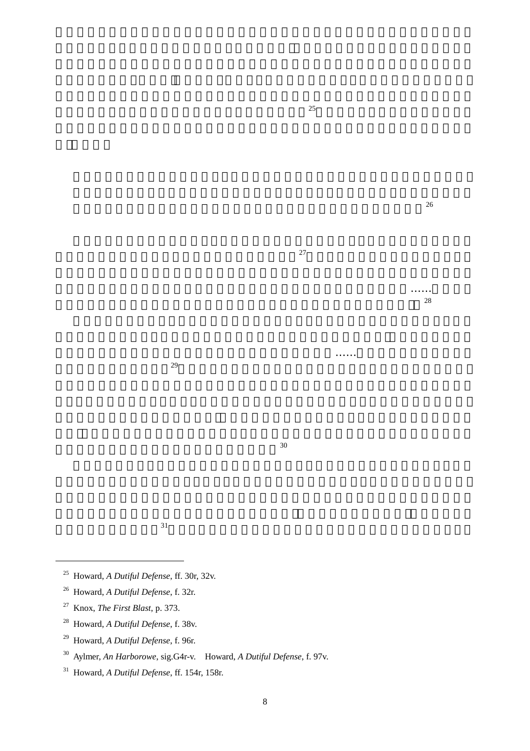$31$ 

 $30<sup>30</sup>$ 

- 25 Howard, *A Dutiful Defense*, ff. 30r, 32v.
- 26 Howard, *A Dutiful Defense*, f. 32r.
- 27 Knox, *The First Blast*, p. 373.

 $\overline{a}$ 

- 28 Howard, *A Dutiful Defense*, f. 38v.
- 29 Howard, *A Dutiful Defense*, f. 96r.
- 30 Aylmer, *An Harborowe*, sig.G4r-v. Howard, *A Dutiful Defense*, f. 97v.
- 31 Howard, *A Dutiful Defense*, ff. 154r, 158r.

 $25$ 

 $\frac{26}{\pi}$ 

 $\sim$  28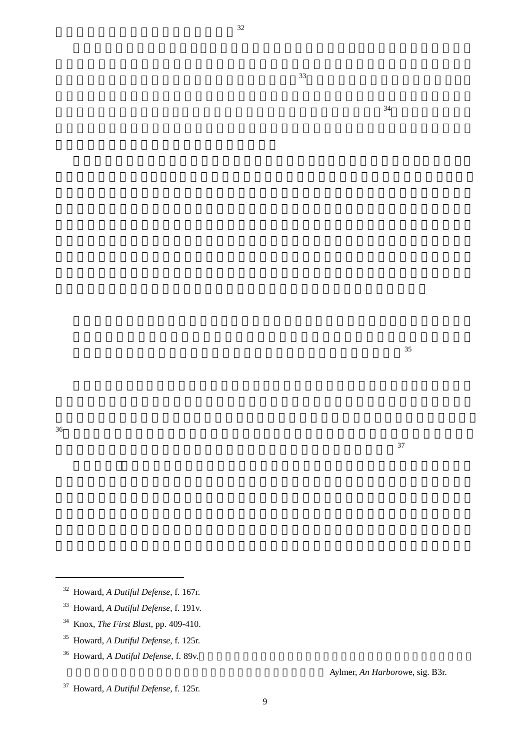$\overline{a}$ 

- 32 Howard, *A Dutiful Defense*, f. 167r.
- 33 Howard, *A Dutiful Defense*, f. 191v.
- 34 Knox, *The First Blast*, pp. 409-410.
- 35 Howard, *A Dutiful Defense*, f. 125r.
- <sup>36</sup> Howard, *A Dutiful Defense*, f. 89v.
- 37 Howard, *A Dutiful Defense*, f. 125r.

9

Aylmer, *An Harborowe*, sig. B3r.

 $\overline{35}$ 

 $\frac{37}{2}$ 

 $34$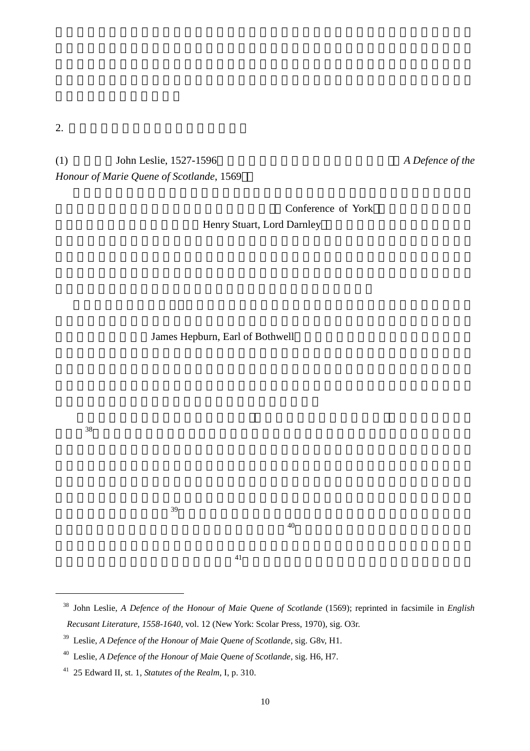(1)  $John Leslie, 1527-1596$  *A Defence of the* 

*Honour of Marie Quene of Scotlande*, 1569

Conference of York Henry Stuart, Lord Darnley

James Hepburn, Earl of Bothwell

 $38$ 

 $\overline{a}$ 

 $40$ 

 $39$ 

<sup>38</sup> John Leslie, *A Defence of the Honour of Maie Quene of Scotlande* (1569); reprinted in facsimile in *English Recusant Literature, 1558-1640*, vol. 12 (New York: Scolar Press, 1970), sig. O3r.

<sup>39</sup> Leslie, *A Defence of the Honour of Maie Quene of Scotlande*, sig. G8v, H1.

<sup>40</sup> Leslie, *A Defence of the Honour of Maie Quene of Scotlande*, sig. H6, H7.

<sup>41 25</sup> Edward II, st. 1, *Statutes of the Realm*, I, p. 310.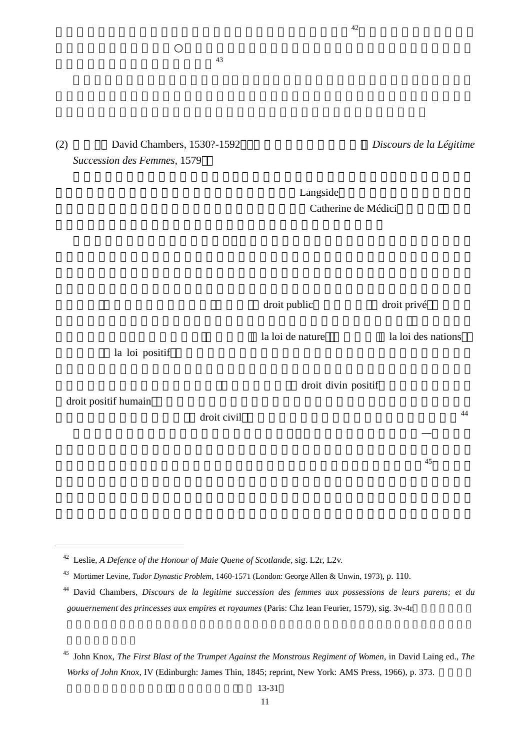## (2) David Chambers, 1530?-1592 *Discours de la Légitime Succession des Femmes*, 1579

 $43$ 

 $L$ angside Catherine de Médici

droit public droit privé , droit privé , quantitative droit privé , quantitative , quantitative , quantitative , quantitative , quantitative , quantitative , quantitative , quantitative , quantitative , quantitative , quan

la loi de nature la loi des nations

第三卷和錢伯斯之書的第三卷和錢伯斯之書。

la loi positif

droit positif humain

 $\overline{a}$ 

droit civil  $\frac{44}{\pi}$ 

42 Leslie, *A Defence of the Honour of Maie Quene of Scotlande*, sig. L2r, L2v.

<sup>43</sup> Mortimer Levine, *Tudor Dynastic Problem*, 1460-1571 (London: George Allen & Unwin, 1973), p. 110.

 $42$ 

droit divin positif

 $\frac{45}{3}$ 

<sup>44</sup> David Chambers, *Discours de la legitime succession des femmes aux possessions de leurs parens; et du*  gouuernement des princesses aux empires et royaumes (Paris: Chz Iean Feurier, 1579), sig. 3v-4r.

<sup>45</sup> John Knox, *The First Blast of the Trumpet Against the Monstrous Regiment of Women*, in David Laing ed., *The Works of John Knox*, IV (Edinburgh: James Thin, 1845; reprint, New York: AMS Press, 1966), p. 373.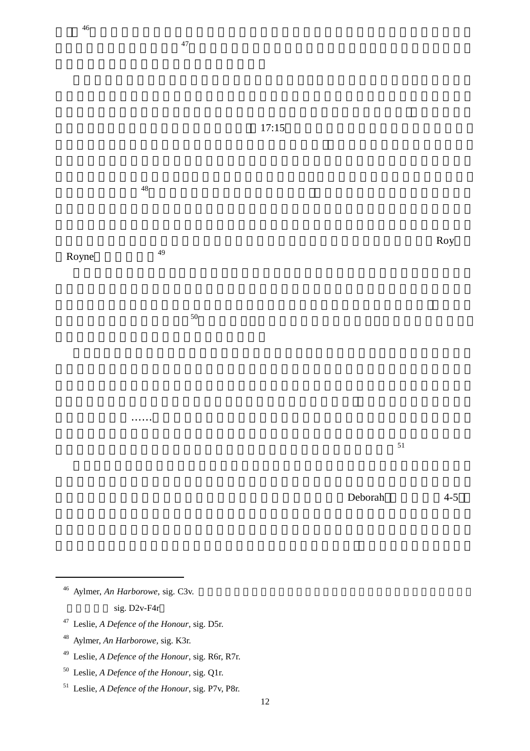

Royne<sup>49</sup>

 $50<sub>50</sub>$ 

 $Roy$ 

 $51$ 

 $Deborah$   $4-5$ 

<sup>46</sup> Aylmer, *An Harborowe*, sig. C3v. sig.  $D2v-F4r$ 

 $\overline{a}$ 

- 47 Leslie, *A Defence of the Honour*, sig. D5r.
- 48 Aylmer, *An Harborowe,* sig. K3r.
- 49 Leslie, *A Defence of the Honour*, sig. R6r, R7r.
- 50 Leslie, *A Defence of the Honour*, sig. Q1r.
- 51 Leslie, *A Defence of the Honour*, sig. P7v, P8r.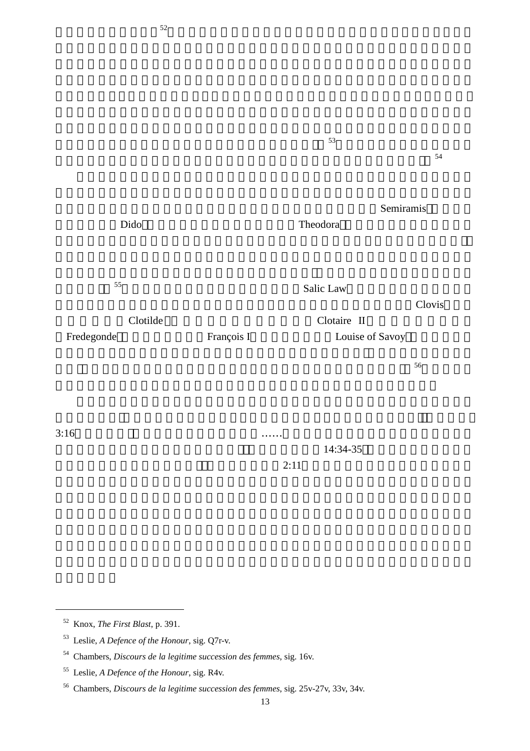$53$  $54$ Semiramis Dido **Theodora Theodora** 斷實踐過」 <sup>55</sup>錢伯斯更注意到即使在實施撒利克法(Salic Law)的法國,雖不允許女子繼 承王位,但女性與政治權威的關係亦密不可分,如第五任法蘭克國王克勞威(Clovis)的妻 Clotilde Clotaire II Fredegonde François I Louise of Savoy  $56$ 

 $52$ 

 $3:16$ 

 $\overline{a}$ 

 $14:34-35$ 

 $2:11$ 

<sup>52</sup> Knox, *The First Blast*, p. 391.

<sup>53</sup> Leslie, *A Defence of the Honour*, sig. Q7r-v.

<sup>54</sup> Chambers, *Discours de la legitime succession des femmes*, sig. 16v.

<sup>55</sup> Leslie, *A Defence of the Honour*, sig. R4v.

<sup>56</sup> Chambers, *Discours de la legitime succession des femmes*, sig. 25v-27v, 33v, 34v.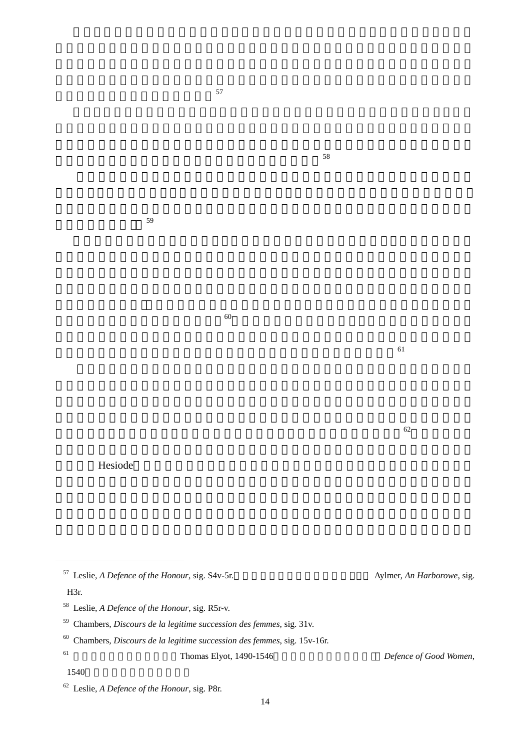

繼承公眾的政府」 <sup>59</sup>

 $\sim$ 

 $58$ 

<sup>57</sup> Leslie, *A Defence of the Honour*, sig. S4v-5r.<br>Aylmer, *An Harborowe*, sig. H3r. 58 Leslie, *A Defence of the Honour*, sig. R5r-v. 59 Chambers, *Discours de la legitime succession des femmes*, sig. 31v. 60 Chambers, *Discours de la legitime succession des femmes*, sig. 15v-16r. <sup>61</sup> 如英格蘭人文學者艾列特(Thomas Elyot, 1490-1546)在其作《為好女人辯護》 *Defence of Good Women*,

 $60$ 

 $62$ 

 $61$ 

1540

 $\overline{a}$ 

<sup>62</sup> Leslie, *A Defence of the Honour*, sig. P8r.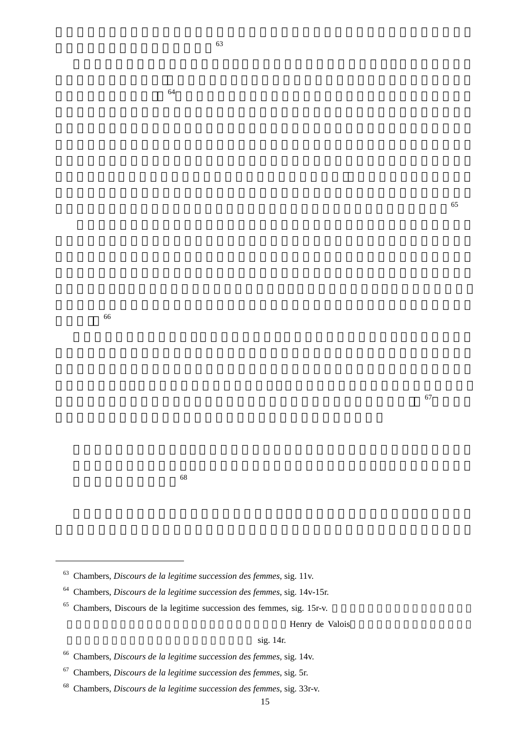的伴侶」 <sup>66</sup>

 $\overline{a}$ 

 $\sim$  63

#### $\sim$  68

- 63 Chambers, *Discours de la legitime succession des femmes*, sig. 11v.
- 64 Chambers, *Discours de la legitime succession des femmes*, sig. 14v-15r.
- $65$  Chambers, Discours de la legitime succession des femmes, sig. 15r-v.

Henry de Valois

#### $sig. 14r.$

 $64$ 

- 66 Chambers, *Discours de la legitime succession des femmes*, sig. 14v.
- 67 Chambers, *Discours de la legitime succession des femmes*, sig. 5r.
- 68 Chambers, *Discours de la legitime succession des femmes*, sig. 33r-v.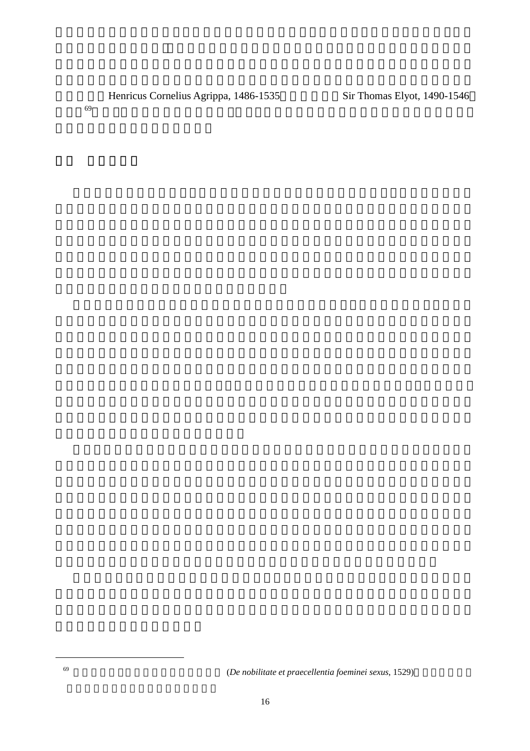Henricus Cornelius Agrippa, 1486-1535 Sir Thomas Elyot, 1490-1546

 $69$ 

 $\overline{a}$ 

<sup>69</sup> 阿格瑞帕著有《論女人之尊貴與傑出》 (*De nobilitate et praecellentia foeminei sexus*, 1529)一書,闡揚女性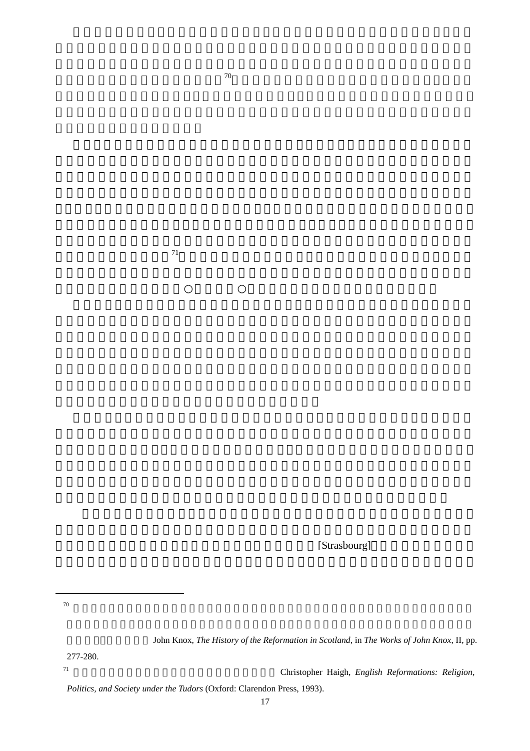[Strasbourg]

 $70$ 

 $\overline{a}$ 

John Knox, *The History of the Reformation in Scotland*, in *The Works of John Knox*, II, pp.

277-280.

<sup>71</sup> 英格蘭宗教改革的多面性、矛盾性與複雜性,可參見 Christopher Haigh, *English Reformations: Religion,* 

*Politics, and Society under the Tudors* (Oxford: Clarendon Press, 1993).

平衡諾克斯言論對瑪麗造成的傷害,<sup>70</sup>也要全力提倡女性可合法且理智的統治國家,以獲得

的宗教改革加以理解的。<sup>71</sup>伊莉莎白較寬容的宗教態度,與各教區緩慢的變革速度,是英格